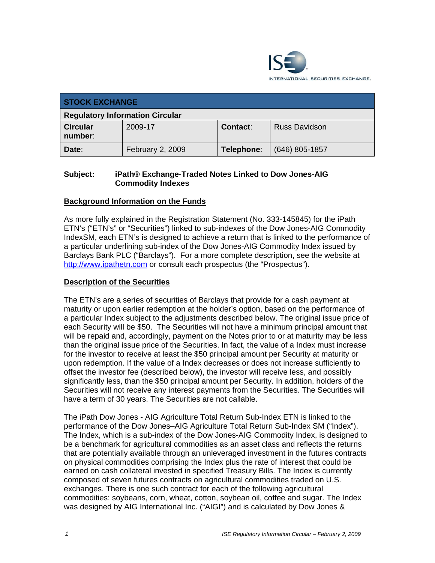

| <b>STOCK EXCHANGE</b>                  |                  |            |                      |
|----------------------------------------|------------------|------------|----------------------|
| <b>Regulatory Information Circular</b> |                  |            |                      |
| <b>Circular</b><br>number:             | 2009-17          | Contact:   | <b>Russ Davidson</b> |
| Date:                                  | February 2, 2009 | Telephone: | $(646)$ 805-1857     |

### **Subject: iPath® Exchange-Traded Notes Linked to Dow Jones-AIG Commodity Indexes**

## **Background Information on the Funds**

As more fully explained in the Registration Statement (No. 333-145845) for the iPath ETN's ("ETN's" or "Securities") linked to sub-indexes of the Dow Jones-AIG Commodity IndexSM, each ETN's is designed to achieve a return that is linked to the performance of a particular underlining sub-index of the Dow Jones-AIG Commodity Index issued by Barclays Bank PLC ("Barclays"). For a more complete description, see the website at http://www.ipathetn.com or consult each prospectus (the "Prospectus").

#### **Description of the Securities**

The ETN's are a series of securities of Barclays that provide for a cash payment at maturity or upon earlier redemption at the holder's option, based on the performance of a particular Index subject to the adjustments described below. The original issue price of each Security will be \$50. The Securities will not have a minimum principal amount that will be repaid and, accordingly, payment on the Notes prior to or at maturity may be less than the original issue price of the Securities. In fact, the value of a Index must increase for the investor to receive at least the \$50 principal amount per Security at maturity or upon redemption. If the value of a Index decreases or does not increase sufficiently to offset the investor fee (described below), the investor will receive less, and possibly significantly less, than the \$50 principal amount per Security. In addition, holders of the Securities will not receive any interest payments from the Securities. The Securities will have a term of 30 years. The Securities are not callable.

The iPath Dow Jones - AIG Agriculture Total Return Sub-Index ETN is linked to the performance of the Dow Jones–AIG Agriculture Total Return Sub-Index SM ("Index"). The Index, which is a sub-index of the Dow Jones-AIG Commodity Index, is designed to be a benchmark for agricultural commodities as an asset class and reflects the returns that are potentially available through an unleveraged investment in the futures contracts on physical commodities comprising the Index plus the rate of interest that could be earned on cash collateral invested in specified Treasury Bills. The Index is currently composed of seven futures contracts on agricultural commodities traded on U.S. exchanges. There is one such contract for each of the following agricultural commodities: soybeans, corn, wheat, cotton, soybean oil, coffee and sugar. The Index was designed by AIG International Inc. ("AIGI") and is calculated by Dow Jones &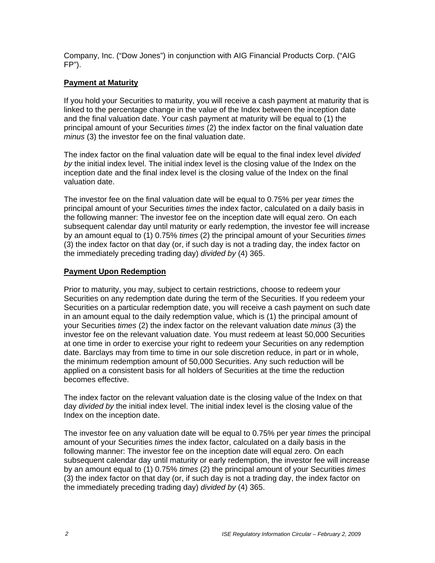Company, Inc. ("Dow Jones") in conjunction with AIG Financial Products Corp. ("AIG FP").

## **Payment at Maturity**

If you hold your Securities to maturity, you will receive a cash payment at maturity that is linked to the percentage change in the value of the Index between the inception date and the final valuation date. Your cash payment at maturity will be equal to (1) the principal amount of your Securities *times* (2) the index factor on the final valuation date *minus* (3) the investor fee on the final valuation date.

The index factor on the final valuation date will be equal to the final index level *divided by* the initial index level. The initial index level is the closing value of the Index on the inception date and the final index level is the closing value of the Index on the final valuation date.

The investor fee on the final valuation date will be equal to 0.75% per year *times* the principal amount of your Securities *times* the index factor, calculated on a daily basis in the following manner: The investor fee on the inception date will equal zero. On each subsequent calendar day until maturity or early redemption, the investor fee will increase by an amount equal to (1) 0.75% *times* (2) the principal amount of your Securities *times*  (3) the index factor on that day (or, if such day is not a trading day, the index factor on the immediately preceding trading day) *divided by* (4) 365.

## **Payment Upon Redemption**

Prior to maturity, you may, subject to certain restrictions, choose to redeem your Securities on any redemption date during the term of the Securities. If you redeem your Securities on a particular redemption date, you will receive a cash payment on such date in an amount equal to the daily redemption value, which is (1) the principal amount of your Securities *times* (2) the index factor on the relevant valuation date *minus* (3) the investor fee on the relevant valuation date. You must redeem at least 50,000 Securities at one time in order to exercise your right to redeem your Securities on any redemption date. Barclays may from time to time in our sole discretion reduce, in part or in whole, the minimum redemption amount of 50,000 Securities. Any such reduction will be applied on a consistent basis for all holders of Securities at the time the reduction becomes effective.

The index factor on the relevant valuation date is the closing value of the Index on that day *divided by* the initial index level. The initial index level is the closing value of the Index on the inception date.

The investor fee on any valuation date will be equal to 0.75% per year *times* the principal amount of your Securities *times* the index factor, calculated on a daily basis in the following manner: The investor fee on the inception date will equal zero. On each subsequent calendar day until maturity or early redemption, the investor fee will increase by an amount equal to (1) 0.75% *times* (2) the principal amount of your Securities *times*  (3) the index factor on that day (or, if such day is not a trading day, the index factor on the immediately preceding trading day) *divided by* (4) 365.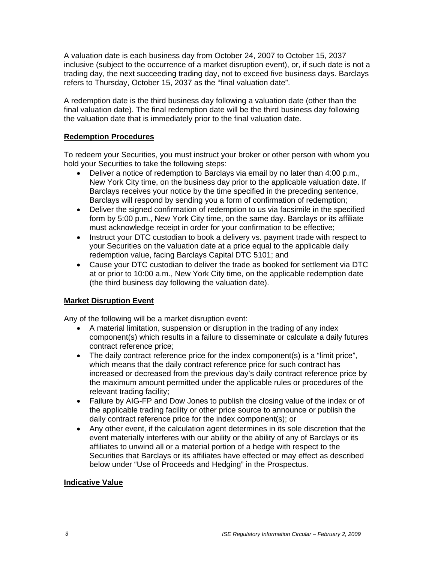A valuation date is each business day from October 24, 2007 to October 15, 2037 inclusive (subject to the occurrence of a market disruption event), or, if such date is not a trading day, the next succeeding trading day, not to exceed five business days. Barclays refers to Thursday, October 15, 2037 as the "final valuation date".

A redemption date is the third business day following a valuation date (other than the final valuation date). The final redemption date will be the third business day following the valuation date that is immediately prior to the final valuation date.

### **Redemption Procedures**

To redeem your Securities, you must instruct your broker or other person with whom you hold your Securities to take the following steps:

- Deliver a notice of redemption to Barclays via email by no later than 4:00 p.m., New York City time, on the business day prior to the applicable valuation date. If Barclays receives your notice by the time specified in the preceding sentence, Barclays will respond by sending you a form of confirmation of redemption;
- Deliver the signed confirmation of redemption to us via facsimile in the specified form by 5:00 p.m., New York City time, on the same day. Barclays or its affiliate must acknowledge receipt in order for your confirmation to be effective;
- Instruct your DTC custodian to book a delivery vs. payment trade with respect to your Securities on the valuation date at a price equal to the applicable daily redemption value, facing Barclays Capital DTC 5101; and
- Cause your DTC custodian to deliver the trade as booked for settlement via DTC at or prior to 10:00 a.m., New York City time, on the applicable redemption date (the third business day following the valuation date).

## **Market Disruption Event**

Any of the following will be a market disruption event:

- A material limitation, suspension or disruption in the trading of any index component(s) which results in a failure to disseminate or calculate a daily futures contract reference price;
- The daily contract reference price for the index component(s) is a "limit price", which means that the daily contract reference price for such contract has increased or decreased from the previous day's daily contract reference price by the maximum amount permitted under the applicable rules or procedures of the relevant trading facility;
- Failure by AIG-FP and Dow Jones to publish the closing value of the index or of the applicable trading facility or other price source to announce or publish the daily contract reference price for the index component(s); or
- Any other event, if the calculation agent determines in its sole discretion that the event materially interferes with our ability or the ability of any of Barclays or its affiliates to unwind all or a material portion of a hedge with respect to the Securities that Barclays or its affiliates have effected or may effect as described below under "Use of Proceeds and Hedging" in the Prospectus.

## **Indicative Value**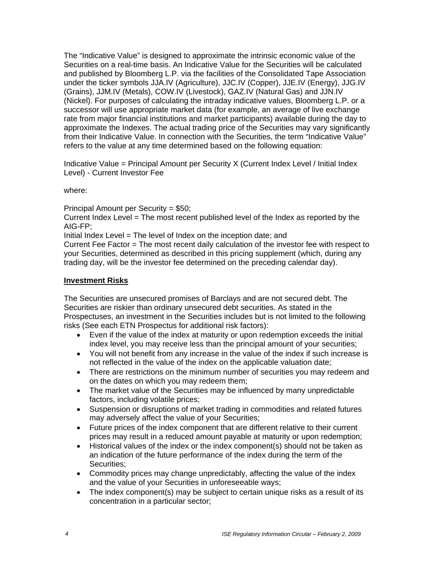The "Indicative Value" is designed to approximate the intrinsic economic value of the Securities on a real-time basis. An Indicative Value for the Securities will be calculated and published by Bloomberg L.P. via the facilities of the Consolidated Tape Association under the ticker symbols JJA.IV (Agriculture), JJC.IV (Copper), JJE.IV (Energy), JJG.IV (Grains), JJM.IV (Metals), COW.IV (Livestock), GAZ.IV (Natural Gas) and JJN.IV (Nickel). For purposes of calculating the intraday indicative values, Bloomberg L.P. or a successor will use appropriate market data (for example, an average of live exchange rate from major financial institutions and market participants) available during the day to approximate the Indexes. The actual trading price of the Securities may vary significantly from their Indicative Value. In connection with the Securities, the term "Indicative Value" refers to the value at any time determined based on the following equation:

Indicative Value = Principal Amount per Security X (Current Index Level / Initial Index Level) - Current Investor Fee

where:

Principal Amount per Security = \$50;

Current Index Level = The most recent published level of the Index as reported by the AIG-FP;

Initial Index Level = The level of Index on the inception date; and

Current Fee Factor = The most recent daily calculation of the investor fee with respect to your Securities, determined as described in this pricing supplement (which, during any trading day, will be the investor fee determined on the preceding calendar day).

#### **Investment Risks**

The Securities are unsecured promises of Barclays and are not secured debt. The Securities are riskier than ordinary unsecured debt securities. As stated in the Prospectuses, an investment in the Securities includes but is not limited to the following risks (See each ETN Prospectus for additional risk factors):

- Even if the value of the index at maturity or upon redemption exceeds the initial index level, you may receive less than the principal amount of your securities;
- You will not benefit from any increase in the value of the index if such increase is not reflected in the value of the index on the applicable valuation date;
- There are restrictions on the minimum number of securities you may redeem and on the dates on which you may redeem them;
- The market value of the Securities may be influenced by many unpredictable factors, including volatile prices;
- Suspension or disruptions of market trading in commodities and related futures may adversely affect the value of your Securities;
- Future prices of the index component that are different relative to their current prices may result in a reduced amount payable at maturity or upon redemption;
- Historical values of the index or the index component(s) should not be taken as an indication of the future performance of the index during the term of the Securities:
- Commodity prices may change unpredictably, affecting the value of the index and the value of your Securities in unforeseeable ways;
- The index component(s) may be subject to certain unique risks as a result of its concentration in a particular sector;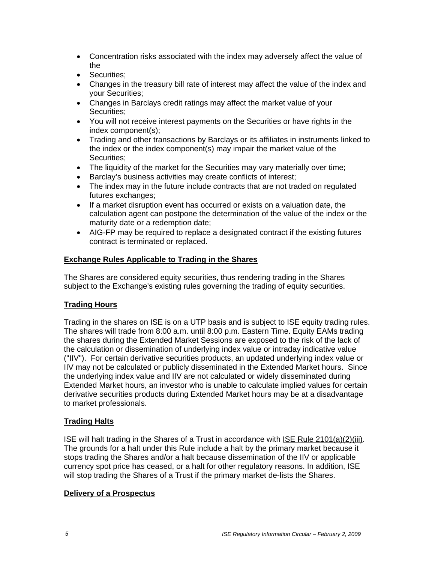- Concentration risks associated with the index may adversely affect the value of the
- Securities;
- Changes in the treasury bill rate of interest may affect the value of the index and your Securities;
- Changes in Barclays credit ratings may affect the market value of your Securities;
- You will not receive interest payments on the Securities or have rights in the index component(s);
- Trading and other transactions by Barclays or its affiliates in instruments linked to the index or the index component(s) may impair the market value of the Securities;
- The liquidity of the market for the Securities may vary materially over time;
- Barclay's business activities may create conflicts of interest;
- The index may in the future include contracts that are not traded on regulated futures exchanges;
- If a market disruption event has occurred or exists on a valuation date, the calculation agent can postpone the determination of the value of the index or the maturity date or a redemption date;
- AIG-FP may be required to replace a designated contract if the existing futures contract is terminated or replaced.

## **Exchange Rules Applicable to Trading in the Shares**

The Shares are considered equity securities, thus rendering trading in the Shares subject to the Exchange's existing rules governing the trading of equity securities.

## **Trading Hours**

Trading in the shares on ISE is on a UTP basis and is subject to ISE equity trading rules. The shares will trade from 8:00 a.m. until 8:00 p.m. Eastern Time. Equity EAMs trading the shares during the Extended Market Sessions are exposed to the risk of the lack of the calculation or dissemination of underlying index value or intraday indicative value ("IIV"). For certain derivative securities products, an updated underlying index value or IIV may not be calculated or publicly disseminated in the Extended Market hours. Since the underlying index value and IIV are not calculated or widely disseminated during Extended Market hours, an investor who is unable to calculate implied values for certain derivative securities products during Extended Market hours may be at a disadvantage to market professionals.

#### **Trading Halts**

ISE will halt trading in the Shares of a Trust in accordance with ISE Rule 2101(a)(2)(iii). The grounds for a halt under this Rule include a halt by the primary market because it stops trading the Shares and/or a halt because dissemination of the IIV or applicable currency spot price has ceased, or a halt for other regulatory reasons. In addition, ISE will stop trading the Shares of a Trust if the primary market de-lists the Shares.

#### **Delivery of a Prospectus**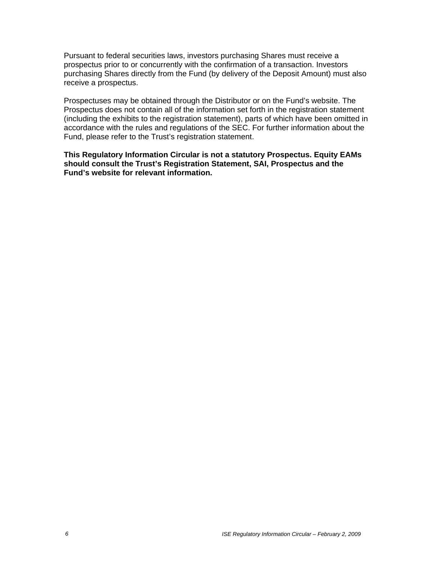Pursuant to federal securities laws, investors purchasing Shares must receive a prospectus prior to or concurrently with the confirmation of a transaction. Investors purchasing Shares directly from the Fund (by delivery of the Deposit Amount) must also receive a prospectus.

Prospectuses may be obtained through the Distributor or on the Fund's website. The Prospectus does not contain all of the information set forth in the registration statement (including the exhibits to the registration statement), parts of which have been omitted in accordance with the rules and regulations of the SEC. For further information about the Fund, please refer to the Trust's registration statement.

**This Regulatory Information Circular is not a statutory Prospectus. Equity EAMs should consult the Trust's Registration Statement, SAI, Prospectus and the Fund's website for relevant information.**